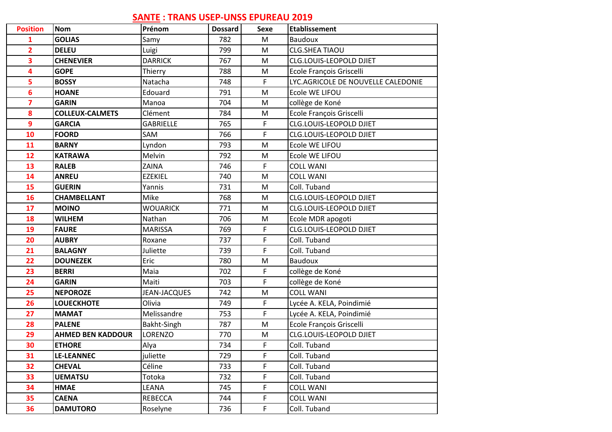## **SANTE : TRANS USEP-UNSS EPUREAU 2019**

| <b>Position</b>         | <b>Nom</b>               | Prénom              | <b>Dossard</b> | <b>Sexe</b> | <b>Etablissement</b>               |
|-------------------------|--------------------------|---------------------|----------------|-------------|------------------------------------|
| 1                       | <b>GOLIAS</b>            | Samy                | 782            | ${\sf M}$   | Baudoux                            |
| $\overline{2}$          | <b>DELEU</b>             | Luigi               | 799            | ${\sf M}$   | <b>CLG.SHEA TIAOU</b>              |
| $\overline{\mathbf{3}}$ | <b>CHENEVIER</b>         | <b>DARRICK</b>      | 767            | M           | <b>CLG.LOUIS-LEOPOLD DJIET</b>     |
| 4                       | <b>GOPE</b>              | Thierry             | 788            | M           | Ecole François Griscelli           |
| 5                       | <b>BOSSY</b>             | Natacha             | 748            | F           | LYC.AGRICOLE DE NOUVELLE CALEDONIE |
| 6                       | <b>HOANE</b>             | Edouard             | 791            | M           | Ecole WE LIFOU                     |
| $\overline{\mathbf{z}}$ | <b>GARIN</b>             | Manoa               | 704            | ${\sf M}$   | collège de Koné                    |
| 8                       | <b>COLLEUX-CALMETS</b>   | Clément             | 784            | ${\sf M}$   | Ecole François Griscelli           |
| $\overline{9}$          | <b>GARCIA</b>            | <b>GABRIELLE</b>    | 765            | F           | <b>CLG.LOUIS-LEOPOLD DJIET</b>     |
| 10                      | <b>FOORD</b>             | SAM                 | 766            | F           | CLG.LOUIS-LEOPOLD DJIET            |
| 11                      | <b>BARNY</b>             | Lyndon              | 793            | M           | Ecole WE LIFOU                     |
| 12                      | <b>KATRAWA</b>           | Melvin              | 792            | M           | Ecole WE LIFOU                     |
| 13                      | <b>RALEB</b>             | ZAINA               | 746            | F           | <b>COLL WANI</b>                   |
| 14                      | <b>ANREU</b>             | <b>EZEKIEL</b>      | 740            | ${\sf M}$   | <b>COLL WANI</b>                   |
| 15                      | <b>GUERIN</b>            | Yannis              | 731            | M           | Coll. Tuband                       |
| 16                      | <b>CHAMBELLANT</b>       | Mike                | 768            | M           | CLG.LOUIS-LEOPOLD DJIET            |
| 17                      | <b>MOINO</b>             | <b>WOUARICK</b>     | 771            | M           | CLG.LOUIS-LEOPOLD DJIET            |
| 18                      | <b>WILHEM</b>            | Nathan              | 706            | M           | Ecole MDR apogoti                  |
| 19                      | <b>FAURE</b>             | <b>MARISSA</b>      | 769            | F           | CLG.LOUIS-LEOPOLD DJIET            |
| 20                      | <b>AUBRY</b>             | Roxane              | 737            | F           | Coll. Tuband                       |
| 21                      | <b>BALAGNY</b>           | Juliette            | 739            | F           | Coll. Tuband                       |
| 22                      | <b>DOUNEZEK</b>          | Eric                | 780            | ${\sf M}$   | <b>Baudoux</b>                     |
| 23                      | <b>BERRI</b>             | Maia                | 702            | F           | collège de Koné                    |
| 24                      | <b>GARIN</b>             | Maiti               | 703            | F           | collège de Koné                    |
| 25                      | <b>NEPOROZE</b>          | <b>JEAN-JACQUES</b> | 742            | ${\sf M}$   | <b>COLL WANI</b>                   |
| 26                      | <b>LOUECKHOTE</b>        | Olivia              | 749            | F           | Lycée A. KELA, Poindimié           |
| 27                      | <b>MAMAT</b>             | Melissandre         | 753            | $\mathsf F$ | Lycée A. KELA, Poindimié           |
| 28                      | <b>PALENE</b>            | Bakht-Singh         | 787            | M           | Ecole François Griscelli           |
| 29                      | <b>AHMED BEN KADDOUR</b> | LORENZO             | 770            | M           | CLG.LOUIS-LEOPOLD DJIET            |
| 30                      | <b>ETHORE</b>            | Alya                | 734            | F           | Coll. Tuband                       |
| 31                      | <b>LE-LEANNEC</b>        | juliette            | 729            | F           | Coll. Tuband                       |
| 32                      | <b>CHEVAL</b>            | Céline              | 733            | F           | Coll. Tuband                       |
| 33                      | <b>UEMATSU</b>           | Totoka              | 732            | F           | Coll. Tuband                       |
| 34                      | <b>HMAE</b>              | LEANA               | 745            | F           | <b>COLL WANI</b>                   |
| 35                      | <b>CAENA</b>             | <b>REBECCA</b>      | 744            | F           | <b>COLL WANI</b>                   |
| 36                      | <b>DAMUTORO</b>          | Roselyne            | 736            | F           | Coll. Tuband                       |